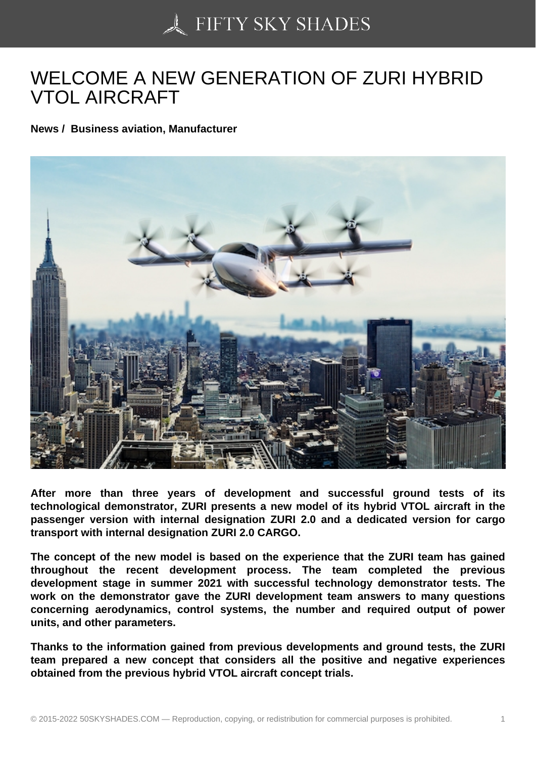## [WELCOME A NEW GE](https://50skyshades.com)NERATION OF ZURI HYBRID VTOL AIRCRAFT

News / Business aviation, Manufacturer

After more than three years of development and successful ground tests of its technological demonstrator, ZURI presents a new model of its hybrid VTOL aircraft in the passenger version with internal designation ZURI 2.0 and a dedicated version for cargo transport with internal designation ZURI 2.0 CARGO.

The concept of the new model is based on the experience that the ZURI team has gained throughout the recent development process. The team completed the previous development stage in summer 2021 with successful technology demonstrator tests. The work on the demonstrator gave the ZURI development team answers to many questions concerning aerodynamics, control systems, the number and required output of power units, and other parameters.

Thanks to the information gained from previous developments and ground tests, the ZURI team prepared a new concept that considers all the positive and negative experiences obtained from the previous hybrid VTOL aircraft concept trials.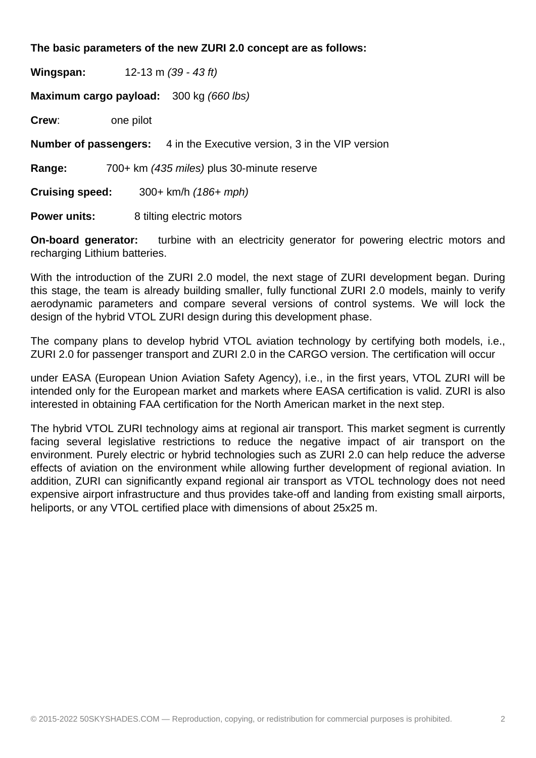## **The basic parameters of the new ZURI 2.0 concept are as follows:**

**Wingspan:** 12-13 m (39 - 43 ft) **Maximum cargo payload:** 300 kg (660 lbs) **Crew**: one pilot **Number of passengers:** 4 in the Executive version, 3 in the VIP version **Range:** 700+ km (435 miles) plus 30-minute reserve **Cruising speed:** 300+ km/h (186+ mph) **Power units:** 8 tilting electric motors

**On-board generator:** turbine with an electricity generator for powering electric motors and recharging Lithium batteries.

With the introduction of the ZURI 2.0 model, the next stage of ZURI development began. During this stage, the team is already building smaller, fully functional ZURI 2.0 models, mainly to verify aerodynamic parameters and compare several versions of control systems. We will lock the design of the hybrid VTOL ZURI design during this development phase.

The company plans to develop hybrid VTOL aviation technology by certifying both models, i.e., ZURI 2.0 for passenger transport and ZURI 2.0 in the CARGO version. The certification will occur

under EASA (European Union Aviation Safety Agency), i.e., in the first years, VTOL ZURI will be intended only for the European market and markets where EASA certification is valid. ZURI is also interested in obtaining FAA certification for the North American market in the next step.

The hybrid VTOL ZURI technology aims at regional air transport. This market segment is currently facing several legislative restrictions to reduce the negative impact of air transport on the environment. Purely electric or hybrid technologies such as ZURI 2.0 can help reduce the adverse effects of aviation on the environment while allowing further development of regional aviation. In addition, ZURI can significantly expand regional air transport as VTOL technology does not need expensive airport infrastructure and thus provides take-off and landing from existing small airports, heliports, or any VTOL certified place with dimensions of about 25x25 m.